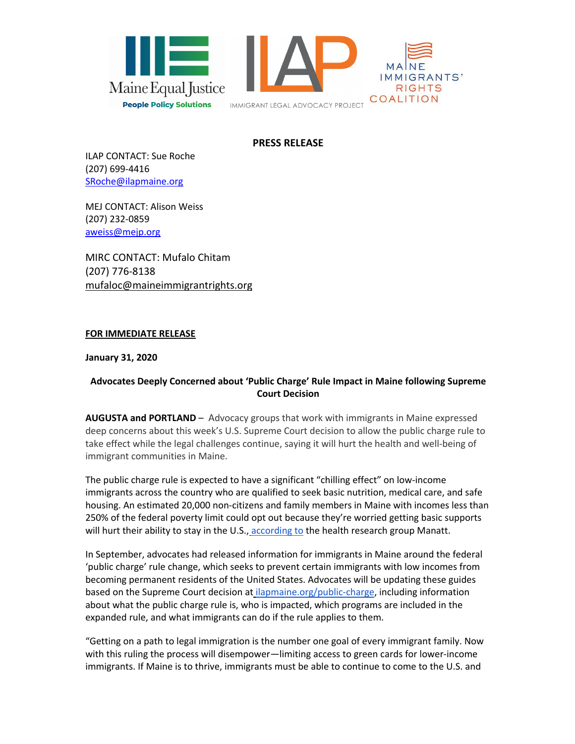

## **PRESS RELEASE**

ILAP CONTACT: Sue Roche (207) 699-4416 SRoche@ilapmaine.org

MEJ CONTACT: Alison Weiss (207) 232-0859 aweiss@mejp.org

MIRC CONTACT: Mufalo Chitam (207) 776-8138 mufaloc@maineimmigrantrights.org

## **FOR IMMEDIATE RELEASE**

**January 31, 2020**

## **Advocates Deeply Concerned about 'Public Charge' Rule Impact in Maine following Supreme Court Decision**

**AUGUSTA and PORTLAND** – Advocacy groups that work with immigrants in Maine expressed deep concerns about this week's U.S. Supreme Court decision to allow the public charge rule to take effect while the legal challenges continue, saying it will hurt the health and well-being of immigrant communities in Maine.

The public charge rule is expected to have a significant "chilling effect" on low-income immigrants across the country who are qualified to seek basic nutrition, medical care, and safe housing. An estimated 20,000 non-citizens and family members in Maine with incomes less than 250% of the federal poverty limit could opt out because they're worried getting basic supports will hurt their ability to stay in the U.S., according to the health research group Manatt.

In September, advocates had released information for immigrants in Maine around the federal 'public charge' rule change, which seeks to prevent certain immigrants with low incomes from becoming permanent residents of the United States. Advocates will be updating these guides based on the Supreme Court decision at ilapmaine.org/public-charge, including information about what the public charge rule is, who is impacted, which programs are included in the expanded rule, and what immigrants can do if the rule applies to them.

"Getting on a path to legal immigration is the number one goal of every immigrant family. Now with this ruling the process will disempower—limiting access to green cards for lower-income immigrants. If Maine is to thrive, immigrants must be able to continue to come to the U.S. and